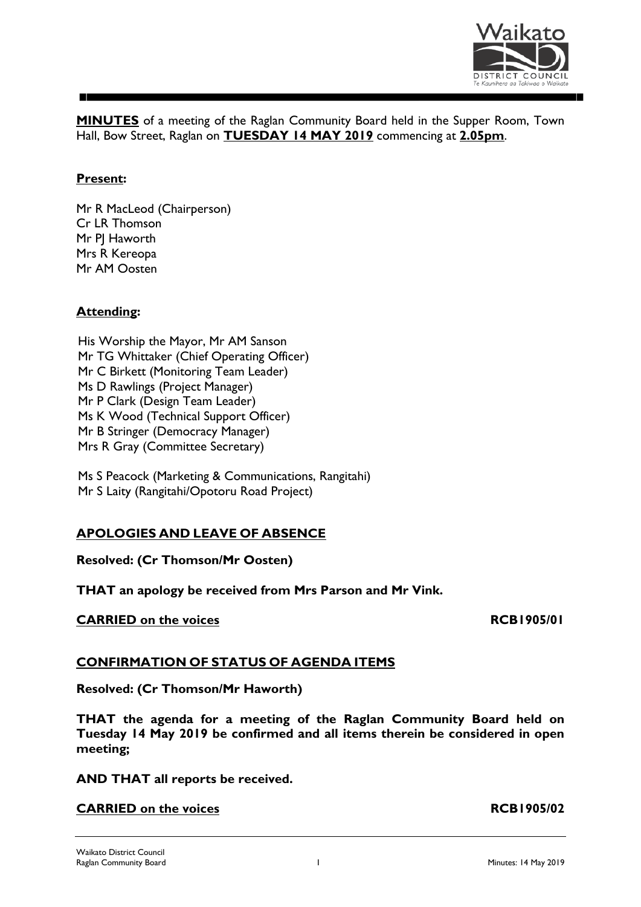

**MINUTES** of a meeting of the Raglan Community Board held in the Supper Room, Town Hall, Bow Street, Raglan on **TUESDAY 14 MAY 2019** commencing at **2.05pm**.

## **Present:**

Mr R MacLeod (Chairperson) Cr LR Thomson Mr PJ Haworth Mrs R Kereopa Mr AM Oosten

## **Attending:**

His Worship the Mayor, Mr AM Sanson Mr TG Whittaker (Chief Operating Officer) Mr C Birkett (Monitoring Team Leader) Ms D Rawlings (Project Manager) Mr P Clark (Design Team Leader) Ms K Wood (Technical Support Officer) Mr B Stringer (Democracy Manager) Mrs R Gray (Committee Secretary)

Ms S Peacock (Marketing & Communications, Rangitahi) Mr S Laity (Rangitahi/Opotoru Road Project)

## **APOLOGIES AND LEAVE OF ABSENCE**

#### **Resolved: (Cr Thomson/Mr Oosten)**

**THAT an apology be received from Mrs Parson and Mr Vink.**

#### **CARRIED on the voices RCB1905/01**

## **CONFIRMATION OF STATUS OF AGENDA ITEMS**

**Resolved: (Cr Thomson/Mr Haworth)**

**THAT the agenda for a meeting of the Raglan Community Board held on Tuesday 14 May 2019 be confirmed and all items therein be considered in open meeting;**

**AND THAT all reports be received.**

### **CARRIED** on the voices **RCB1905/02**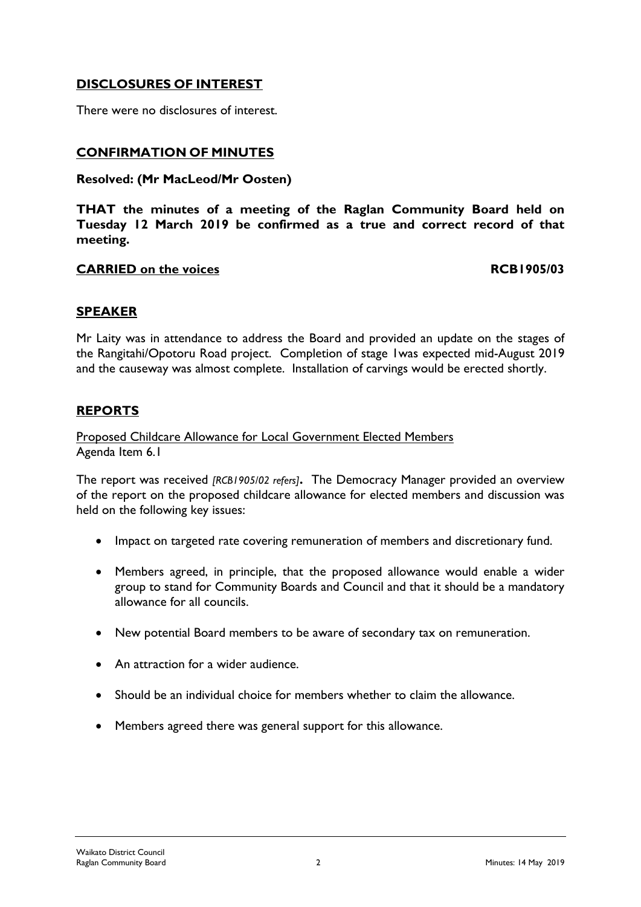# **DISCLOSURES OF INTEREST**

There were no disclosures of interest.

## **CONFIRMATION OF MINUTES**

## **Resolved: (Mr MacLeod/Mr Oosten)**

**THAT the minutes of a meeting of the Raglan Community Board held on Tuesday 12 March 2019 be confirmed as a true and correct record of that meeting.**

### **CARRIED on the voices RCB1905/03**

## **SPEAKER**

Mr Laity was in attendance to address the Board and provided an update on the stages of the Rangitahi/Opotoru Road project. Completion of stage 1was expected mid-August 2019 and the causeway was almost complete. Installation of carvings would be erected shortly.

## **REPORTS**

### Proposed Childcare Allowance for Local Government Elected Members Agenda Item 6.1

The report was received *[RCB1905/02 refers]***.** The Democracy Manager provided an overview of the report on the proposed childcare allowance for elected members and discussion was held on the following key issues:

- Impact on targeted rate covering remuneration of members and discretionary fund.
- Members agreed, in principle, that the proposed allowance would enable a wider group to stand for Community Boards and Council and that it should be a mandatory allowance for all councils.
- New potential Board members to be aware of secondary tax on remuneration.
- An attraction for a wider audience.
- Should be an individual choice for members whether to claim the allowance.
- Members agreed there was general support for this allowance.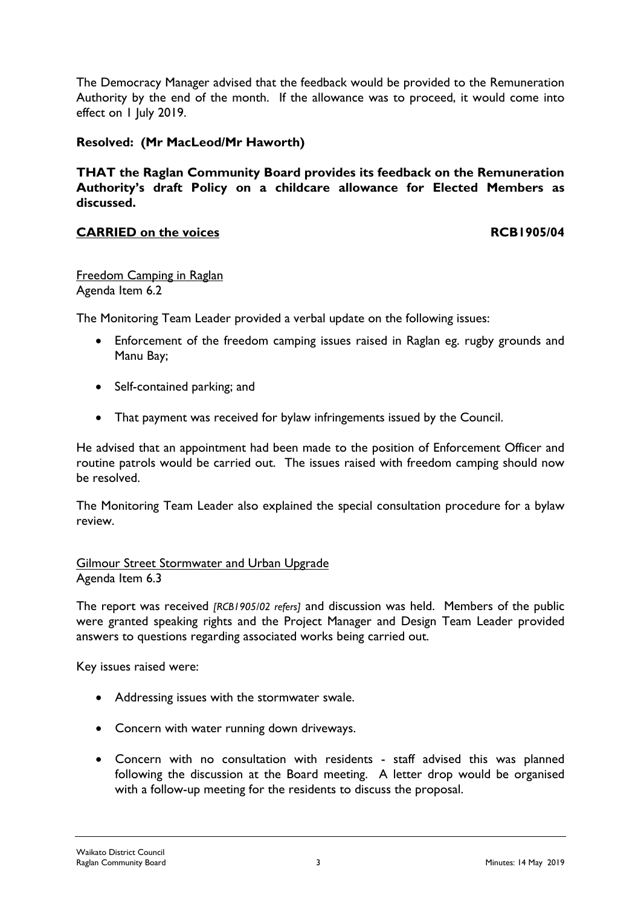The Democracy Manager advised that the feedback would be provided to the Remuneration Authority by the end of the month. If the allowance was to proceed, it would come into effect on 1 July 2019.

## **Resolved: (Mr MacLeod/Mr Haworth)**

**THAT the Raglan Community Board provides its feedback on the Remuneration Authority's draft Policy on a childcare allowance for Elected Members as discussed.**

## **CARRIED on the voices RCB1905/04**

Freedom Camping in Raglan Agenda Item 6.2

The Monitoring Team Leader provided a verbal update on the following issues:

- Enforcement of the freedom camping issues raised in Raglan eg. rugby grounds and Manu Bay;
- Self-contained parking; and
- That payment was received for bylaw infringements issued by the Council.

He advised that an appointment had been made to the position of Enforcement Officer and routine patrols would be carried out. The issues raised with freedom camping should now be resolved.

The Monitoring Team Leader also explained the special consultation procedure for a bylaw review.

## Gilmour Street Stormwater and Urban Upgrade Agenda Item 6.3

The report was received *[RCB1905/02 refers]* and discussion was held. Members of the public were granted speaking rights and the Project Manager and Design Team Leader provided answers to questions regarding associated works being carried out.

Key issues raised were:

- Addressing issues with the stormwater swale.
- Concern with water running down driveways.
- Concern with no consultation with residents staff advised this was planned following the discussion at the Board meeting. A letter drop would be organised with a follow-up meeting for the residents to discuss the proposal.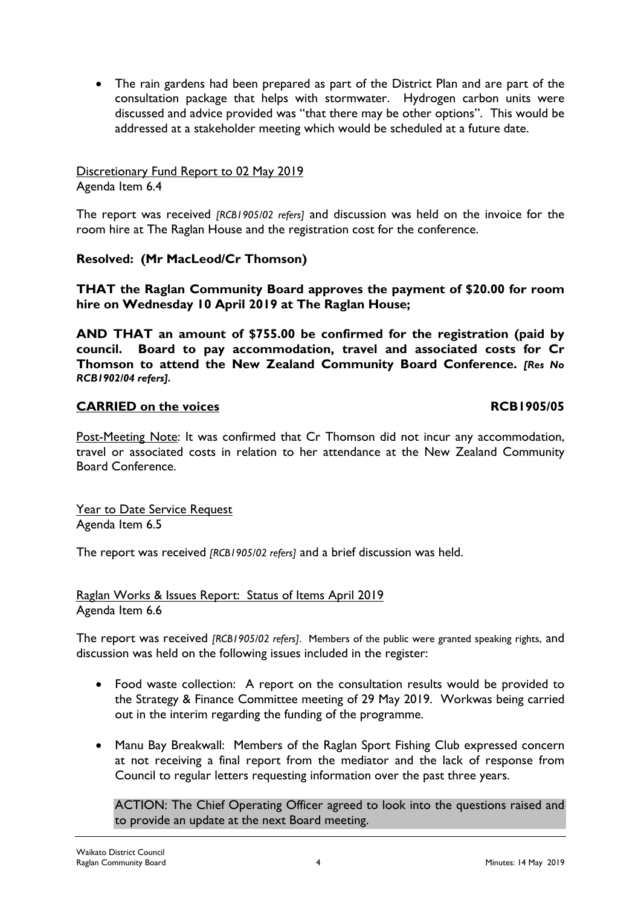• The rain gardens had been prepared as part of the District Plan and are part of the consultation package that helps with stormwater. Hydrogen carbon units were discussed and advice provided was "that there may be other options". This would be addressed at a stakeholder meeting which would be scheduled at a future date.

## Discretionary Fund Report to 02 May 2019 Agenda Item 6.4

The report was received *[RCB1905/02 refers]* and discussion was held on the invoice for the room hire at The Raglan House and the registration cost for the conference.

## **Resolved: (Mr MacLeod/Cr Thomson)**

**THAT the Raglan Community Board approves the payment of \$20.00 for room hire on Wednesday 10 April 2019 at The Raglan House;**

**AND THAT an amount of \$755.00 be confirmed for the registration (paid by council. Board to pay accommodation, travel and associated costs for Cr Thomson to attend the New Zealand Community Board Conference.** *[Res No RCB1902/04 refers].*

### **CARRIED** on the voices **RCB1905/05**

Post-Meeting Note: It was confirmed that Cr Thomson did not incur any accommodation, travel or associated costs in relation to her attendance at the New Zealand Community Board Conference.

Year to Date Service Request Agenda Item 6.5

The report was received *[RCB1905/02 refers]* and a brief discussion was held.

Raglan Works & Issues Report: Status of Items April 2019 Agenda Item 6.6

The report was received *[RCB1905/02 refers]*. Members of the public were granted speaking rights, and discussion was held on the following issues included in the register:

- Food waste collection: A report on the consultation results would be provided to the Strategy & Finance Committee meeting of 29 May 2019. Workwas being carried out in the interim regarding the funding of the programme.
- Manu Bay Breakwall: Members of the Raglan Sport Fishing Club expressed concern at not receiving a final report from the mediator and the lack of response from Council to regular letters requesting information over the past three years.

ACTION: The Chief Operating Officer agreed to look into the questions raised and to provide an update at the next Board meeting.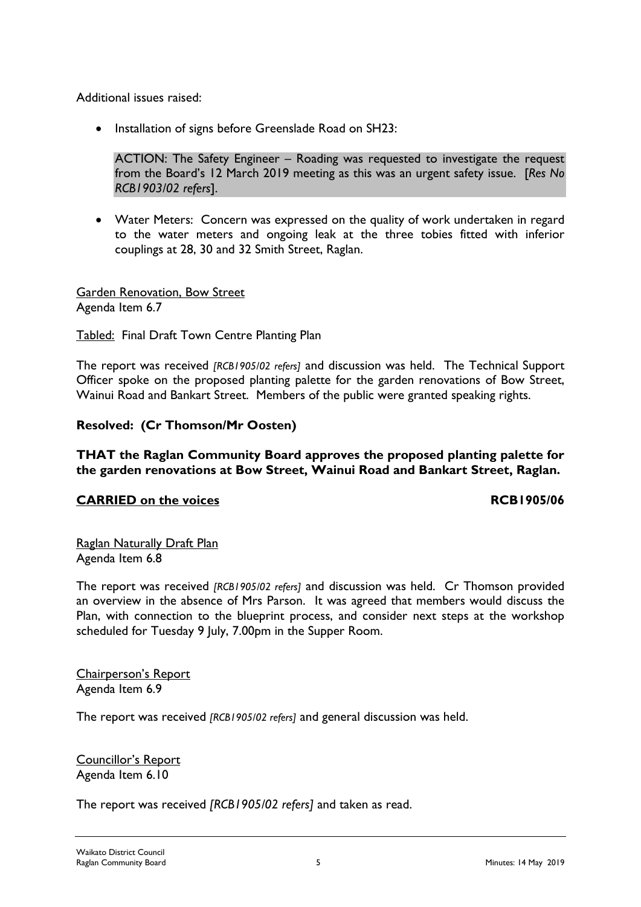Additional issues raised:

• Installation of signs before Greenslade Road on SH23:

ACTION: The Safety Engineer – Roading was requested to investigate the request from the Board's 12 March 2019 meeting as this was an urgent safety issue. [*Res No RCB1903/02 refers*].

• Water Meters: Concern was expressed on the quality of work undertaken in regard to the water meters and ongoing leak at the three tobies fitted with inferior couplings at 28, 30 and 32 Smith Street, Raglan.

Garden Renovation, Bow Street Agenda Item 6.7

Tabled: Final Draft Town Centre Planting Plan

The report was received *[RCB1905/02 refers]* and discussion was held. The Technical Support Officer spoke on the proposed planting palette for the garden renovations of Bow Street, Wainui Road and Bankart Street. Members of the public were granted speaking rights.

## **Resolved: (Cr Thomson/Mr Oosten)**

**THAT the Raglan Community Board approves the proposed planting palette for the garden renovations at Bow Street, Wainui Road and Bankart Street, Raglan.**

## **CARRIED** on the voices **RCB1905/06**

Raglan Naturally Draft Plan Agenda Item 6.8

The report was received *[RCB1905/02 refers]* and discussion was held. Cr Thomson provided an overview in the absence of Mrs Parson. It was agreed that members would discuss the Plan, with connection to the blueprint process, and consider next steps at the workshop scheduled for Tuesday 9 July, 7.00pm in the Supper Room.

Chairperson's Report Agenda Item 6.9

The report was received *[RCB1905/02 refers]* and general discussion was held.

Councillor's Report Agenda Item 6.10

The report was received *[RCB1905/02 refers]* and taken as read.